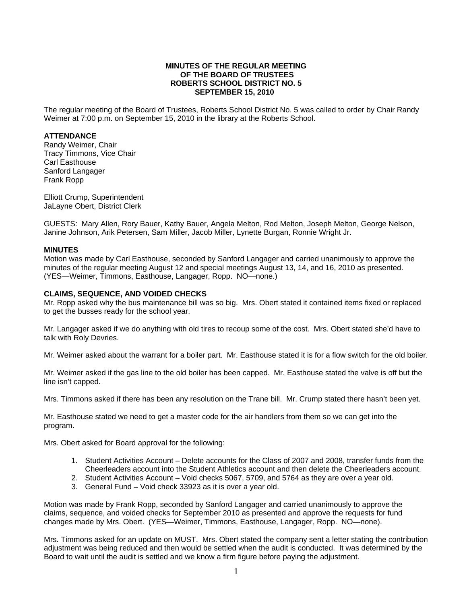# **MINUTES OF THE REGULAR MEETING OF THE BOARD OF TRUSTEES ROBERTS SCHOOL DISTRICT NO. 5 SEPTEMBER 15, 2010**

The regular meeting of the Board of Trustees, Roberts School District No. 5 was called to order by Chair Randy Weimer at 7:00 p.m. on September 15, 2010 in the library at the Roberts School.

### **ATTENDANCE**

Randy Weimer, Chair Tracy Timmons, Vice Chair Carl Easthouse Sanford Langager Frank Ropp

Elliott Crump, Superintendent JaLayne Obert, District Clerk

GUESTS: Mary Allen, Rory Bauer, Kathy Bauer, Angela Melton, Rod Melton, Joseph Melton, George Nelson, Janine Johnson, Arik Petersen, Sam Miller, Jacob Miller, Lynette Burgan, Ronnie Wright Jr.

### **MINUTES**

Motion was made by Carl Easthouse, seconded by Sanford Langager and carried unanimously to approve the minutes of the regular meeting August 12 and special meetings August 13, 14, and 16, 2010 as presented. (YES—Weimer, Timmons, Easthouse, Langager, Ropp. NO—none.)

### **CLAIMS, SEQUENCE, AND VOIDED CHECKS**

Mr. Ropp asked why the bus maintenance bill was so big. Mrs. Obert stated it contained items fixed or replaced to get the busses ready for the school year.

Mr. Langager asked if we do anything with old tires to recoup some of the cost. Mrs. Obert stated she'd have to talk with Roly Devries.

Mr. Weimer asked about the warrant for a boiler part. Mr. Easthouse stated it is for a flow switch for the old boiler.

Mr. Weimer asked if the gas line to the old boiler has been capped. Mr. Easthouse stated the valve is off but the line isn't capped.

Mrs. Timmons asked if there has been any resolution on the Trane bill. Mr. Crump stated there hasn't been yet.

Mr. Easthouse stated we need to get a master code for the air handlers from them so we can get into the program.

Mrs. Obert asked for Board approval for the following:

- 1. Student Activities Account Delete accounts for the Class of 2007 and 2008, transfer funds from the Cheerleaders account into the Student Athletics account and then delete the Cheerleaders account.
- 2. Student Activities Account Void checks 5067, 5709, and 5764 as they are over a year old.
- 3. General Fund Void check 33923 as it is over a year old.

Motion was made by Frank Ropp, seconded by Sanford Langager and carried unanimously to approve the claims, sequence, and voided checks for September 2010 as presented and approve the requests for fund changes made by Mrs. Obert. (YES—Weimer, Timmons, Easthouse, Langager, Ropp. NO—none).

Mrs. Timmons asked for an update on MUST. Mrs. Obert stated the company sent a letter stating the contribution adjustment was being reduced and then would be settled when the audit is conducted. It was determined by the Board to wait until the audit is settled and we know a firm figure before paying the adjustment.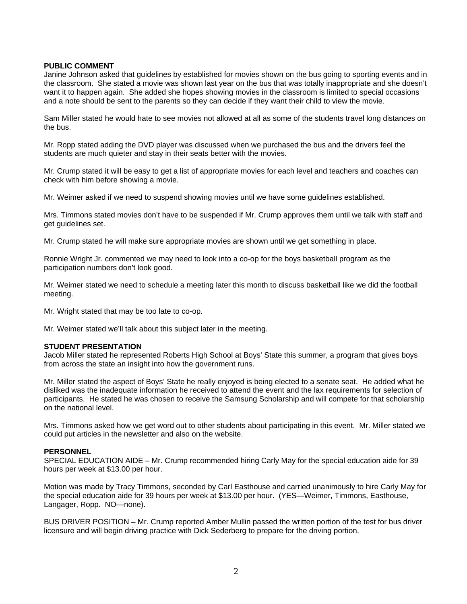## **PUBLIC COMMENT**

Janine Johnson asked that guidelines by established for movies shown on the bus going to sporting events and in the classroom. She stated a movie was shown last year on the bus that was totally inappropriate and she doesn't want it to happen again. She added she hopes showing movies in the classroom is limited to special occasions and a note should be sent to the parents so they can decide if they want their child to view the movie.

Sam Miller stated he would hate to see movies not allowed at all as some of the students travel long distances on the bus.

Mr. Ropp stated adding the DVD player was discussed when we purchased the bus and the drivers feel the students are much quieter and stay in their seats better with the movies.

Mr. Crump stated it will be easy to get a list of appropriate movies for each level and teachers and coaches can check with him before showing a movie.

Mr. Weimer asked if we need to suspend showing movies until we have some guidelines established.

Mrs. Timmons stated movies don't have to be suspended if Mr. Crump approves them until we talk with staff and get guidelines set.

Mr. Crump stated he will make sure appropriate movies are shown until we get something in place.

Ronnie Wright Jr. commented we may need to look into a co-op for the boys basketball program as the participation numbers don't look good.

Mr. Weimer stated we need to schedule a meeting later this month to discuss basketball like we did the football meeting.

Mr. Wright stated that may be too late to co-op.

Mr. Weimer stated we'll talk about this subject later in the meeting.

## **STUDENT PRESENTATION**

Jacob Miller stated he represented Roberts High School at Boys' State this summer, a program that gives boys from across the state an insight into how the government runs.

Mr. Miller stated the aspect of Boys' State he really enjoyed is being elected to a senate seat. He added what he disliked was the inadequate information he received to attend the event and the lax requirements for selection of participants. He stated he was chosen to receive the Samsung Scholarship and will compete for that scholarship on the national level.

Mrs. Timmons asked how we get word out to other students about participating in this event. Mr. Miller stated we could put articles in the newsletter and also on the website.

#### **PERSONNEL**

SPECIAL EDUCATION AIDE – Mr. Crump recommended hiring Carly May for the special education aide for 39 hours per week at \$13.00 per hour.

Motion was made by Tracy Timmons, seconded by Carl Easthouse and carried unanimously to hire Carly May for the special education aide for 39 hours per week at \$13.00 per hour. (YES—Weimer, Timmons, Easthouse, Langager, Ropp. NO—none).

BUS DRIVER POSITION – Mr. Crump reported Amber Mullin passed the written portion of the test for bus driver licensure and will begin driving practice with Dick Sederberg to prepare for the driving portion.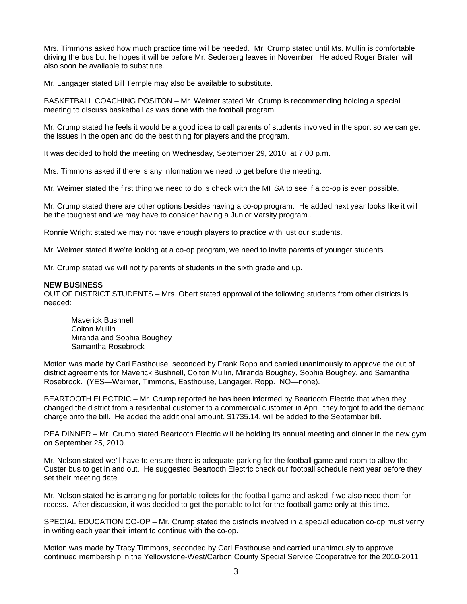Mrs. Timmons asked how much practice time will be needed. Mr. Crump stated until Ms. Mullin is comfortable driving the bus but he hopes it will be before Mr. Sederberg leaves in November. He added Roger Braten will also soon be available to substitute.

Mr. Langager stated Bill Temple may also be available to substitute.

BASKETBALL COACHING POSITON – Mr. Weimer stated Mr. Crump is recommending holding a special meeting to discuss basketball as was done with the football program.

Mr. Crump stated he feels it would be a good idea to call parents of students involved in the sport so we can get the issues in the open and do the best thing for players and the program.

It was decided to hold the meeting on Wednesday, September 29, 2010, at 7:00 p.m.

Mrs. Timmons asked if there is any information we need to get before the meeting.

Mr. Weimer stated the first thing we need to do is check with the MHSA to see if a co-op is even possible.

Mr. Crump stated there are other options besides having a co-op program. He added next year looks like it will be the toughest and we may have to consider having a Junior Varsity program..

Ronnie Wright stated we may not have enough players to practice with just our students.

Mr. Weimer stated if we're looking at a co-op program, we need to invite parents of younger students.

Mr. Crump stated we will notify parents of students in the sixth grade and up.

## **NEW BUSINESS**

OUT OF DISTRICT STUDENTS – Mrs. Obert stated approval of the following students from other districts is needed:

 Maverick Bushnell Colton Mullin Miranda and Sophia Boughey Samantha Rosebrock

Motion was made by Carl Easthouse, seconded by Frank Ropp and carried unanimously to approve the out of district agreements for Maverick Bushnell, Colton Mullin, Miranda Boughey, Sophia Boughey, and Samantha Rosebrock. (YES—Weimer, Timmons, Easthouse, Langager, Ropp. NO—none).

BEARTOOTH ELECTRIC – Mr. Crump reported he has been informed by Beartooth Electric that when they changed the district from a residential customer to a commercial customer in April, they forgot to add the demand charge onto the bill. He added the additional amount, \$1735.14, will be added to the September bill.

REA DINNER – Mr. Crump stated Beartooth Electric will be holding its annual meeting and dinner in the new gym on September 25, 2010.

Mr. Nelson stated we'll have to ensure there is adequate parking for the football game and room to allow the Custer bus to get in and out. He suggested Beartooth Electric check our football schedule next year before they set their meeting date.

Mr. Nelson stated he is arranging for portable toilets for the football game and asked if we also need them for recess. After discussion, it was decided to get the portable toilet for the football game only at this time.

SPECIAL EDUCATION CO-OP – Mr. Crump stated the districts involved in a special education co-op must verify in writing each year their intent to continue with the co-op.

Motion was made by Tracy Timmons, seconded by Carl Easthouse and carried unanimously to approve continued membership in the Yellowstone-West/Carbon County Special Service Cooperative for the 2010-2011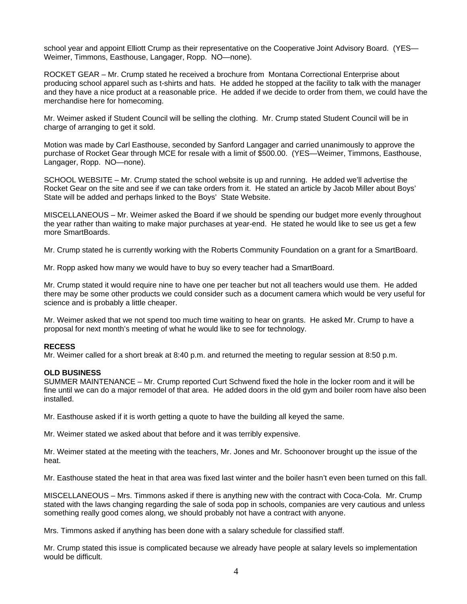school year and appoint Elliott Crump as their representative on the Cooperative Joint Advisory Board. (YES— Weimer, Timmons, Easthouse, Langager, Ropp. NO—none).

ROCKET GEAR – Mr. Crump stated he received a brochure from Montana Correctional Enterprise about producing school apparel such as t-shirts and hats. He added he stopped at the facility to talk with the manager and they have a nice product at a reasonable price. He added if we decide to order from them, we could have the merchandise here for homecoming.

Mr. Weimer asked if Student Council will be selling the clothing. Mr. Crump stated Student Council will be in charge of arranging to get it sold.

Motion was made by Carl Easthouse, seconded by Sanford Langager and carried unanimously to approve the purchase of Rocket Gear through MCE for resale with a limit of \$500.00. (YES—Weimer, Timmons, Easthouse, Langager, Ropp. NO—none).

SCHOOL WEBSITE – Mr. Crump stated the school website is up and running. He added we'll advertise the Rocket Gear on the site and see if we can take orders from it. He stated an article by Jacob Miller about Boys' State will be added and perhaps linked to the Boys' State Website.

MISCELLANEOUS – Mr. Weimer asked the Board if we should be spending our budget more evenly throughout the year rather than waiting to make major purchases at year-end. He stated he would like to see us get a few more SmartBoards.

Mr. Crump stated he is currently working with the Roberts Community Foundation on a grant for a SmartBoard.

Mr. Ropp asked how many we would have to buy so every teacher had a SmartBoard.

Mr. Crump stated it would require nine to have one per teacher but not all teachers would use them. He added there may be some other products we could consider such as a document camera which would be very useful for science and is probably a little cheaper.

Mr. Weimer asked that we not spend too much time waiting to hear on grants. He asked Mr. Crump to have a proposal for next month's meeting of what he would like to see for technology.

## **RECESS**

Mr. Weimer called for a short break at 8:40 p.m. and returned the meeting to regular session at 8:50 p.m.

## **OLD BUSINESS**

SUMMER MAINTENANCE – Mr. Crump reported Curt Schwend fixed the hole in the locker room and it will be fine until we can do a major remodel of that area. He added doors in the old gym and boiler room have also been installed.

Mr. Easthouse asked if it is worth getting a quote to have the building all keyed the same.

Mr. Weimer stated we asked about that before and it was terribly expensive.

Mr. Weimer stated at the meeting with the teachers, Mr. Jones and Mr. Schoonover brought up the issue of the heat.

Mr. Easthouse stated the heat in that area was fixed last winter and the boiler hasn't even been turned on this fall.

MISCELLANEOUS – Mrs. Timmons asked if there is anything new with the contract with Coca-Cola. Mr. Crump stated with the laws changing regarding the sale of soda pop in schools, companies are very cautious and unless something really good comes along, we should probably not have a contract with anyone.

Mrs. Timmons asked if anything has been done with a salary schedule for classified staff.

Mr. Crump stated this issue is complicated because we already have people at salary levels so implementation would be difficult.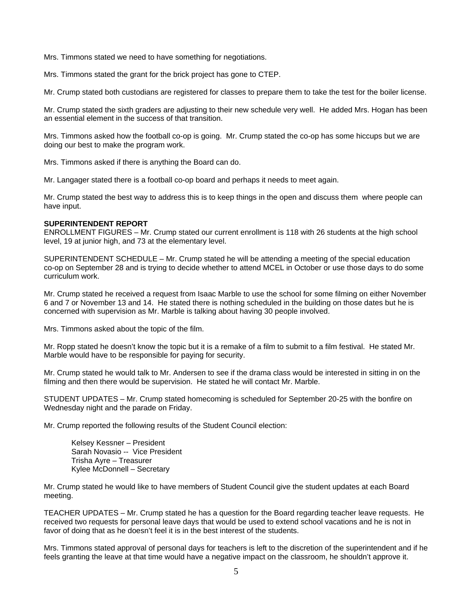Mrs. Timmons stated we need to have something for negotiations.

Mrs. Timmons stated the grant for the brick project has gone to CTEP.

Mr. Crump stated both custodians are registered for classes to prepare them to take the test for the boiler license.

Mr. Crump stated the sixth graders are adjusting to their new schedule very well. He added Mrs. Hogan has been an essential element in the success of that transition.

Mrs. Timmons asked how the football co-op is going. Mr. Crump stated the co-op has some hiccups but we are doing our best to make the program work.

Mrs. Timmons asked if there is anything the Board can do.

Mr. Langager stated there is a football co-op board and perhaps it needs to meet again.

Mr. Crump stated the best way to address this is to keep things in the open and discuss them where people can have input.

# **SUPERINTENDENT REPORT**

ENROLLMENT FIGURES – Mr. Crump stated our current enrollment is 118 with 26 students at the high school level, 19 at junior high, and 73 at the elementary level.

SUPERINTENDENT SCHEDULE – Mr. Crump stated he will be attending a meeting of the special education co-op on September 28 and is trying to decide whether to attend MCEL in October or use those days to do some curriculum work.

Mr. Crump stated he received a request from Isaac Marble to use the school for some filming on either November 6 and 7 or November 13 and 14. He stated there is nothing scheduled in the building on those dates but he is concerned with supervision as Mr. Marble is talking about having 30 people involved.

Mrs. Timmons asked about the topic of the film.

Mr. Ropp stated he doesn't know the topic but it is a remake of a film to submit to a film festival. He stated Mr. Marble would have to be responsible for paying for security.

Mr. Crump stated he would talk to Mr. Andersen to see if the drama class would be interested in sitting in on the filming and then there would be supervision. He stated he will contact Mr. Marble.

STUDENT UPDATES – Mr. Crump stated homecoming is scheduled for September 20-25 with the bonfire on Wednesday night and the parade on Friday.

Mr. Crump reported the following results of the Student Council election:

 Kelsey Kessner – President Sarah Novasio -- Vice President Trisha Ayre – Treasurer Kylee McDonnell – Secretary

Mr. Crump stated he would like to have members of Student Council give the student updates at each Board meeting.

TEACHER UPDATES – Mr. Crump stated he has a question for the Board regarding teacher leave requests. He received two requests for personal leave days that would be used to extend school vacations and he is not in favor of doing that as he doesn't feel it is in the best interest of the students.

Mrs. Timmons stated approval of personal days for teachers is left to the discretion of the superintendent and if he feels granting the leave at that time would have a negative impact on the classroom, he shouldn't approve it.